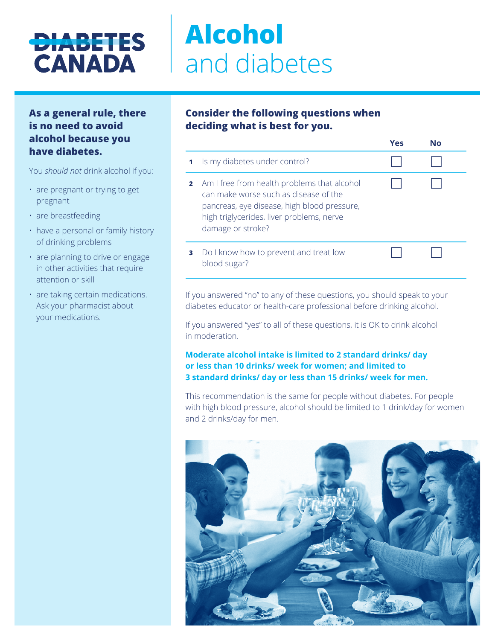## **DIABETES CANADA**

# **Alcohol**  and diabetes

## **As a general rule, there is no need to avoid alcohol because you have diabetes.**

You *should not* drink alcohol if you:

- are pregnant or trying to get pregnant
- are breastfeeding
- have a personal or family history of drinking problems
- are planning to drive or engage in other activities that require attention or skill
- are taking certain medications. Ask your pharmacist about your medications.

## **Consider the following questions when deciding what is best for you.**

|   |                                                                                                                                                                                                                | Yes | N٥ |  |
|---|----------------------------------------------------------------------------------------------------------------------------------------------------------------------------------------------------------------|-----|----|--|
|   | Is my diabetes under control?                                                                                                                                                                                  |     |    |  |
|   | <b>2</b> Am I free from health problems that alcohol<br>can make worse such as disease of the<br>pancreas, eye disease, high blood pressure,<br>high triglycerides, liver problems, nerve<br>damage or stroke? |     |    |  |
| з | Do I know how to prevent and treat low<br>blood sugar?                                                                                                                                                         |     |    |  |

If you answered "no" to any of these questions, you should speak to your diabetes educator or health-care professional before drinking alcohol.

If you answered "yes" to all of these questions, it is OK to drink alcohol in moderation.

#### **Moderate alcohol intake is limited to 2 standard drinks/ day or less than 10 drinks/ week for women; and limited to 3 standard drinks/ day or less than 15 drinks/ week for men.**

This recommendation is the same for people without diabetes. For people with high blood pressure, alcohol should be limited to 1 drink/day for women and 2 drinks/day for men.

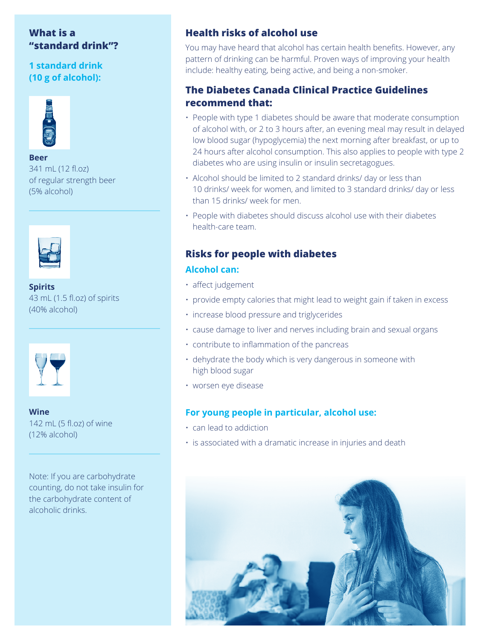## **What is a "standard drink"?**

## **1 standard drink (10 g of alcohol):**



#### **Beer** 341 mL (12 fl.oz) of regular strength beer (5% alcohol)



**Spirits**  43 mL (1.5 fl.oz) of spirits (40% alcohol)



**Wine**  142 mL (5 fl.oz) of wine (12% alcohol)

Note: If you are carbohydrate counting, do not take insulin for the carbohydrate content of alcoholic drinks.

## **Health risks of alcohol use**

You may have heard that alcohol has certain health benefits. However, any pattern of drinking can be harmful. Proven ways of improving your health include: healthy eating, being active, and being a non-smoker.

## **The Diabetes Canada Clinical Practice Guidelines recommend that:**

- People with type 1 diabetes should be aware that moderate consumption of alcohol with, or 2 to 3 hours after, an evening meal may result in delayed low blood sugar (hypoglycemia) the next morning after breakfast, or up to 24 hours after alcohol consumption. This also applies to people with type 2 diabetes who are using insulin or insulin secretagogues.
- Alcohol should be limited to 2 standard drinks/ day or less than 10 drinks/ week for women, and limited to 3 standard drinks/ day or less than 15 drinks/ week for men.
- People with diabetes should discuss alcohol use with their diabetes health-care team.

## **Risks for people with diabetes Alcohol can:**

#### • affect judgement

- provide empty calories that might lead to weight gain if taken in excess
- increase blood pressure and triglycerides
- cause damage to liver and nerves including brain and sexual organs
- contribute to inflammation of the pancreas
- dehydrate the body which is very dangerous in someone with high blood sugar
- worsen eye disease

#### **For young people in particular, alcohol use:**

- can lead to addiction
- is associated with a dramatic increase in injuries and death

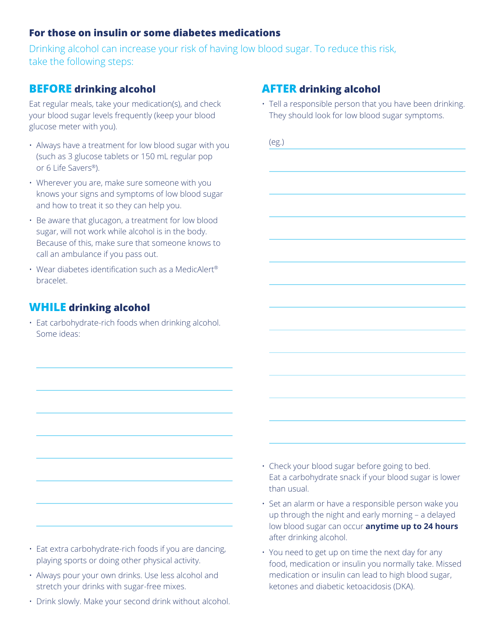## **For those on insulin or some diabetes medications**

Drinking alcohol can increase your risk of having low blood sugar. To reduce this risk, take the following steps:

## **BEFORE drinking alcohol**

Eat regular meals, take your medication(s), and check your blood sugar levels frequently (keep your blood glucose meter with you).

- Always have a treatment for low blood sugar with you (such as 3 glucose tablets or 150 mL regular pop or 6 Life Savers®).
- Wherever you are, make sure someone with you knows your signs and symptoms of low blood sugar and how to treat it so they can help you.
- Be aware that glucagon, a treatment for low blood sugar, will not work while alcohol is in the body. Because of this, make sure that someone knows to call an ambulance if you pass out.
- Wear diabetes identification such as a MedicAlert® bracelet.

## **WHILE drinking alcohol**

• Eat carbohydrate-rich foods when drinking alcohol. Some ideas:



- Always pour your own drinks. Use less alcohol and stretch your drinks with sugar-free mixes.
- Drink slowly. Make your second drink without alcohol.

## **AFTER drinking alcohol**

• Tell a responsible person that you have been drinking. They should look for low blood sugar symptoms.

- Eat a carbohydrate snack if your blood sugar is lower than usual.
- Set an alarm or have a responsible person wake you up through the night and early morning – a delayed low blood sugar can occur **anytime up to 24 hours**  after drinking alcohol.
- You need to get up on time the next day for any food, medication or insulin you normally take. Missed medication or insulin can lead to high blood sugar, ketones and diabetic ketoacidosis (DKA).